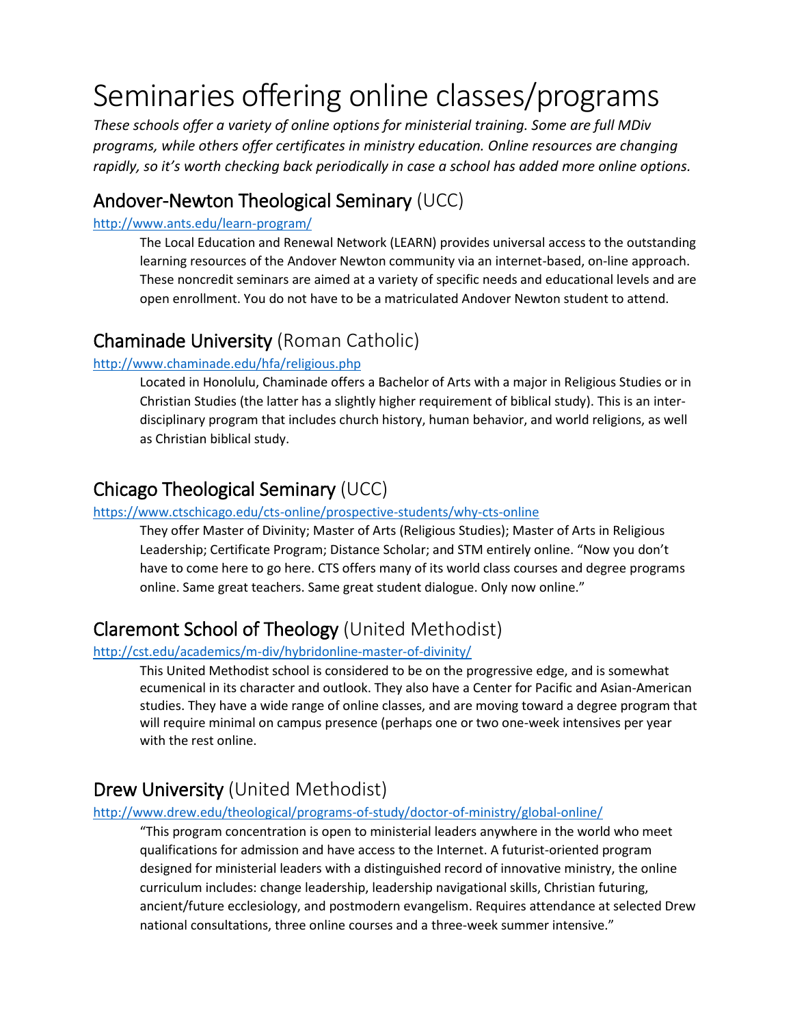# Seminaries offering online classes/programs

*These schools offer a variety of online options for ministerial training. Some are full MDiv programs, while others offer certificates in ministry education. Online resources are changing rapidly, so it's worth checking back periodically in case a school has added more online options.*

### Andover-Newton Theological Seminary (UCC)

#### <http://www.ants.edu/learn-program/>

The Local Education and Renewal Network (LEARN) provides universal access to the outstanding learning resources of the Andover Newton community via an internet-based, on-line approach. These noncredit seminars are aimed at a variety of specific needs and educational levels and are open enrollment. You do not have to be a matriculated Andover Newton student to attend.

### Chaminade University (Roman Catholic)

#### <http://www.chaminade.edu/hfa/religious.php>

Located in Honolulu, Chaminade offers a Bachelor of Arts with a major in Religious Studies or in Christian Studies (the latter has a slightly higher requirement of biblical study). This is an interdisciplinary program that includes church history, human behavior, and world religions, as well as Christian biblical study.

### Chicago Theological Seminary (UCC)

#### <https://www.ctschicago.edu/cts-online/prospective-students/why-cts-online>

They offer Master of Divinity; Master of Arts (Religious Studies); Master of Arts in Religious Leadership; Certificate Program; Distance Scholar; and STM entirely online. "Now you don't have to come here to go here. CTS offers many of its world class courses and degree programs online. Same great teachers. Same great student dialogue. Only now online."

### Claremont School of Theology (United Methodist)

#### <http://cst.edu/academics/m-div/hybridonline-master-of-divinity/>

This United Methodist school is considered to be on the progressive edge, and is somewhat ecumenical in its character and outlook. They also have a Center for Pacific and Asian-American studies. They have a wide range of online classes, and are moving toward a degree program that will require minimal on campus presence (perhaps one or two one-week intensives per year with the rest online.

### Drew University (United Methodist)

#### <http://www.drew.edu/theological/programs-of-study/doctor-of-ministry/global-online/>

"This program concentration is open to ministerial leaders anywhere in the world who meet qualifications for admission and have access to the Internet. A futurist-oriented program designed for ministerial leaders with a distinguished record of innovative ministry, the online curriculum includes: change leadership, leadership navigational skills, Christian futuring, ancient/future ecclesiology, and postmodern evangelism. Requires attendance at selected Drew national consultations, three online courses and a three-week summer intensive."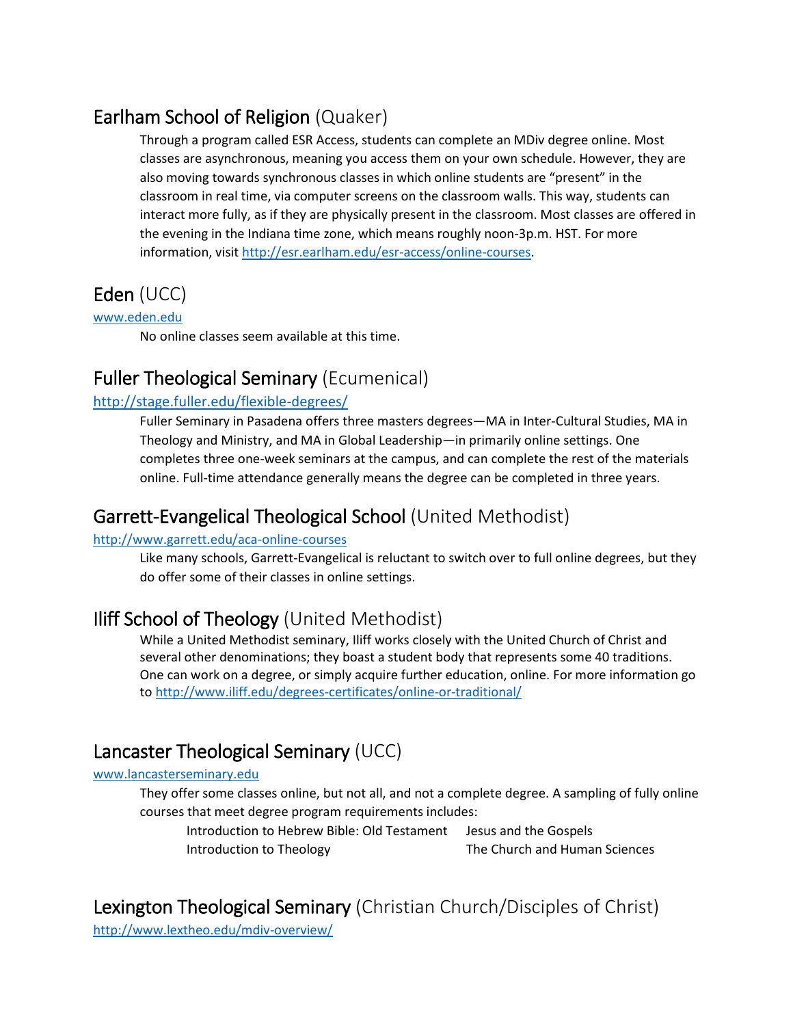# Earlham School of Religion (Quaker)

Through a program called ESR Access, students can complete an MDiv degree online. Most classes are asynchronous, meaning you access them on your own schedule. However, they are also moving towards synchronous classes in which online students are "present" in the classroom in real time, via computer screens on the classroom walls. This way, students can interact more fully, as if they are physically present in the classroom. Most classes are offered in the evening in the Indiana time zone, which means roughly noon-3p.m. HST. For more information, visit [http://esr.earlham.edu/esr-access/online-courses.](http://esr.earlham.edu/esr-access/online-courses)

# Eden (UCC)

#### [www.eden.edu](http://www.eden.edu/)

No online classes seem available at this time.

### Fuller Theological Seminary (Ecumenical)

#### <http://stage.fuller.edu/flexible-degrees/>

Fuller Seminary in Pasadena offers three masters degrees—MA in Inter-Cultural Studies, MA in Theology and Ministry, and MA in Global Leadership—in primarily online settings. One completes three one-week seminars at the campus, and can complete the rest of the materials online. Full-time attendance generally means the degree can be completed in three years.

### Garrett-Evangelical Theological School (United Methodist)

#### <http://www.garrett.edu/aca-online-courses>

Like many schools, Garrett-Evangelical is reluctant to switch over to full online degrees, but they do offer some of their classes in online settings.

### Iliff School of Theology (United Methodist)

While a United Methodist seminary, Iliff works closely with the United Church of Christ and several other denominations; they boast a student body that represents some 40 traditions. One can work on a degree, or simply acquire further education, online. For more information go to<http://www.iliff.edu/degrees-certificates/online-or-traditional/>

### Lancaster Theological Seminary (UCC)

#### [www.lancasterseminary.edu](http://www.lancasterseminary.edu/)

They offer some classes online, but not all, and not a complete degree. A sampling of fully online courses that meet degree program requirements includes:

Introduction to Hebrew Bible: Old Testament Jesus and the Gospels Introduction to Theology The Church and Human Sciences

### Lexington Theological Seminary (Christian Church/Disciples of Christ)

<http://www.lextheo.edu/mdiv-overview/>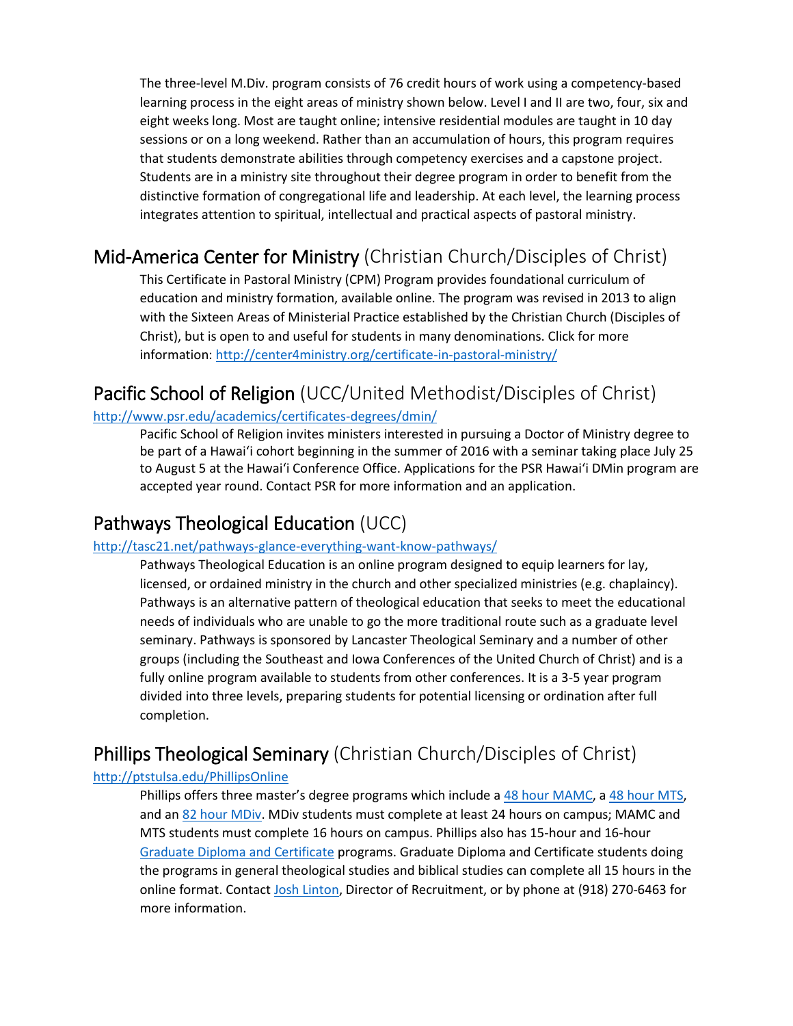The three-level M.Div. program consists of 76 credit hours of work using a competency-based learning process in the eight areas of ministry shown below. Level I and II are two, four, six and eight weeks long. Most are taught online; intensive residential modules are taught in 10 day sessions or on a long weekend. Rather than an accumulation of hours, this program requires that students demonstrate abilities through competency exercises and a capstone project. Students are in a ministry site throughout their degree program in order to benefit from the distinctive formation of congregational life and leadership. At each level, the learning process integrates attention to spiritual, intellectual and practical aspects of pastoral ministry.

### Mid-America Center for Ministry (Christian Church/Disciples of Christ)

This Certificate in Pastoral Ministry (CPM) Program provides foundational curriculum of education and ministry formation, available online. The program was revised in 2013 to align with the Sixteen Areas of Ministerial Practice established by the Christian Church (Disciples of Christ), but is open to and useful for students in many denominations. Click for more information: <http://center4ministry.org/certificate-in-pastoral-ministry/>

### Pacific School of Religion (UCC/United Methodist/Disciples of Christ)

#### <http://www.psr.edu/academics/certificates-degrees/dmin/>

Pacific School of Religion invites ministers interested in pursuing a Doctor of Ministry degree to be part of a Hawai'i cohort beginning in the summer of 2016 with a seminar taking place July 25 to August 5 at the Hawai'i Conference Office. Applications for the PSR Hawai'i DMin program are accepted year round. Contact PSR for more information and an application.

### Pathways Theological Education (UCC)

#### <http://tasc21.net/pathways-glance-everything-want-know-pathways/>

Pathways Theological Education is an online program designed to equip learners for lay, licensed, or ordained ministry in the church and other specialized ministries (e.g. chaplaincy). Pathways is an alternative pattern of theological education that seeks to meet the educational needs of individuals who are unable to go the more traditional route such as a graduate level seminary. Pathways is sponsored by Lancaster Theological Seminary and a number of other groups (including the Southeast and Iowa Conferences of the United Church of Christ) and is a fully online program available to students from other conferences. It is a 3-5 year program divided into three levels, preparing students for potential licensing or ordination after full completion.

# Phillips Theological Seminary (Christian Church/Disciples of Christ)

#### <http://ptstulsa.edu/PhillipsOnline>

Phillips offers three master's degree programs which include a [48 hour MAMC,](http://ptstulsa.edu/MAMCDegree) [a 48 hour MTS,](http://ptstulsa.edu/MTSDegree) and an [82 hour MDiv.](http://ptstulsa.edu/MDivDegree) MDiv students must complete at least 24 hours on campus; MAMC and MTS students must complete 16 hours on campus. Phillips also has 15-hour and 16-hour [Graduate Diploma and Certificate](http://ptstulsa.edu/CertificatesAndDiplomas) programs. Graduate Diploma and Certificate students doing the programs in general theological studies and biblical studies can complete all 15 hours in the online format. Contac[t Josh Linton,](mailto:josh.linton@ptstulsa.edu) Director of Recruitment, or by phone at (918) 270-6463 for more information.